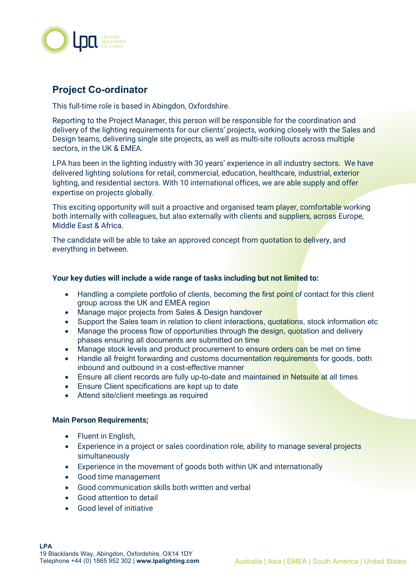

## **Project Co-ordinator**

This full-time role is based in Abingdon, Oxfordshire.

Reporting to the Project Manager, this person will be responsible for the coordination and delivery of the lighting requirements for our clients' projects, working closely with the Sales and Design teams, delivering single site projects, as well as multi-site rollouts across multiple sectors, in the UK & EMEA.

LPA has been in the lighting industry with 30 years' experience in all industry sectors. We have delivered lighting solutions for retail, commercial, education, healthcare, industrial, exterior lighting, and residential sectors. With 10 international offices, we are able supply and offer expertise on projects globally.

This exciting opportunity will suit a proactive and organised team player, comfortable working both internally with colleagues, but also externally with clients and suppliers, across Europe, Middle East & Africa.

The candidate will be able to take an approved concept from quotation to delivery, and everything in between.

## **Your key duties will include a wide range of tasks including but not limited to:**

- Handling a complete portfolio of clients, becoming the first point of contact for this client group across the UK and EMEA region
- Manage major projects from Sales & Design handover
- Support the Sales team in relation to client interactions, quotations, stock information etc
- Manage the process flow of opportunities through the design, quotation and delivery phases ensuring all documents are submitted on time
- Manage stock levels and product procurement to ensure orders can be met on time
- Handle all freight forwarding and customs documentation requirements for goods, both inbound and outbound in a cost-effective manner
- Ensure all client records are fully up-to-date and maintained in Netsuite at all times
- Ensure Client specifications are kept up to date
- Attend site/client meetings as required

## **Main Person Requirements;**

- Fluent in English,
- Experience in a project or sales coordination role, ability to manage several projects simultaneously
- Experience in the movement of goods both within UK and internationally
- Good time management
- Good communication skills both written and verbal
- Good attention to detail
- Good level of initiative